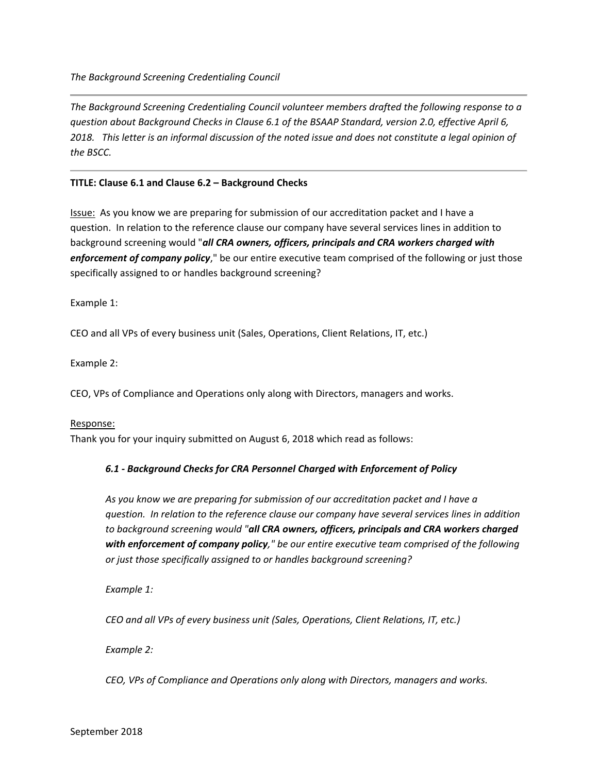*The Background Screening Credentialing Council volunteer members drafted the following response to a question about Background Checks in Clause 6.1 of the BSAAP Standard, version 2.0, effective April 6, 2018. This letter is an informal discussion of the noted issue and does not constitute a legal opinion of the BSCC.*

# **TITLE: Clause 6.1 and Clause 6.2 – Background Checks**

Issue: As you know we are preparing for submission of our accreditation packet and I have a question. In relation to the reference clause our company have several services lines in addition to background screening would "*all CRA owners, officers, principals and CRA workers charged with enforcement of company policy*," be our entire executive team comprised of the following or just those specifically assigned to or handles background screening?

Example 1:

CEO and all VPs of every business unit (Sales, Operations, Client Relations, IT, etc.)

Example 2:

CEO, VPs of Compliance and Operations only along with Directors, managers and works.

## Response:

Thank you for your inquiry submitted on August 6, 2018 which read as follows:

# *6.1 - Background Checks for CRA Personnel Charged with Enforcement of Policy*

*As you know we are preparing for submission of our accreditation packet and I have a question. In relation to the reference clause our company have several services lines in addition to background screening would "all CRA owners, officers, principals and CRA workers charged with enforcement of company policy," be our entire executive team comprised of the following or just those specifically assigned to or handles background screening?*

*Example 1:*

*CEO and all VPs of every business unit (Sales, Operations, Client Relations, IT, etc.)*

*Example 2:*

*CEO, VPs of Compliance and Operations only along with Directors, managers and works.*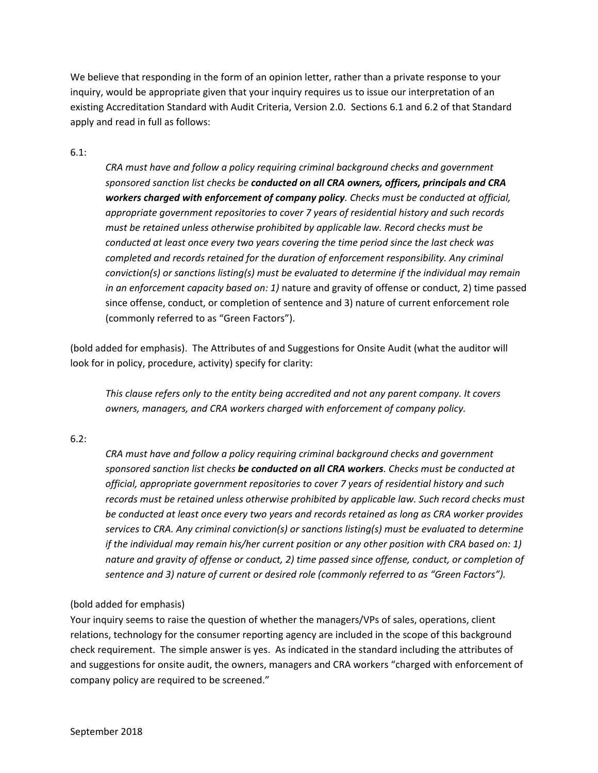We believe that responding in the form of an opinion letter, rather than a private response to your inquiry, would be appropriate given that your inquiry requires us to issue our interpretation of an existing Accreditation Standard with Audit Criteria, Version 2.0. Sections 6.1 and 6.2 of that Standard apply and read in full as follows:

## 6.1:

*CRA must have and follow a policy requiring criminal background checks and government sponsored sanction list checks be conducted on all CRA owners, officers, principals and CRA workers charged with enforcement of company policy. Checks must be conducted at official, appropriate government repositories to cover 7 years of residential history and such records must be retained unless otherwise prohibited by applicable law. Record checks must be conducted at least once every two years covering the time period since the last check was completed and records retained for the duration of enforcement responsibility. Any criminal conviction(s) or sanctions listing(s) must be evaluated to determine if the individual may remain in an enforcement capacity based on: 1)* nature and gravity of offense or conduct, 2) time passed since offense, conduct, or completion of sentence and 3) nature of current enforcement role (commonly referred to as "Green Factors").

(bold added for emphasis). The Attributes of and Suggestions for Onsite Audit (what the auditor will look for in policy, procedure, activity) specify for clarity:

*This clause refers only to the entity being accredited and not any parent company. It covers owners, managers, and CRA workers charged with enforcement of company policy.*

## 6.2:

*CRA must have and follow a policy requiring criminal background checks and government sponsored sanction list checks be conducted on all CRA workers. Checks must be conducted at official, appropriate government repositories to cover 7 years of residential history and such records must be retained unless otherwise prohibited by applicable law. Such record checks must be conducted at least once every two years and records retained as long as CRA worker provides services to CRA. Any criminal conviction(s) or sanctions listing(s) must be evaluated to determine if the individual may remain his/her current position or any other position with CRA based on: 1) nature and gravity of offense or conduct, 2) time passed since offense, conduct, or completion of sentence and 3) nature of current or desired role (commonly referred to as "Green Factors").*

## (bold added for emphasis)

Your inquiry seems to raise the question of whether the managers/VPs of sales, operations, client relations, technology for the consumer reporting agency are included in the scope of this background check requirement. The simple answer is yes. As indicated in the standard including the attributes of and suggestions for onsite audit, the owners, managers and CRA workers "charged with enforcement of company policy are required to be screened."